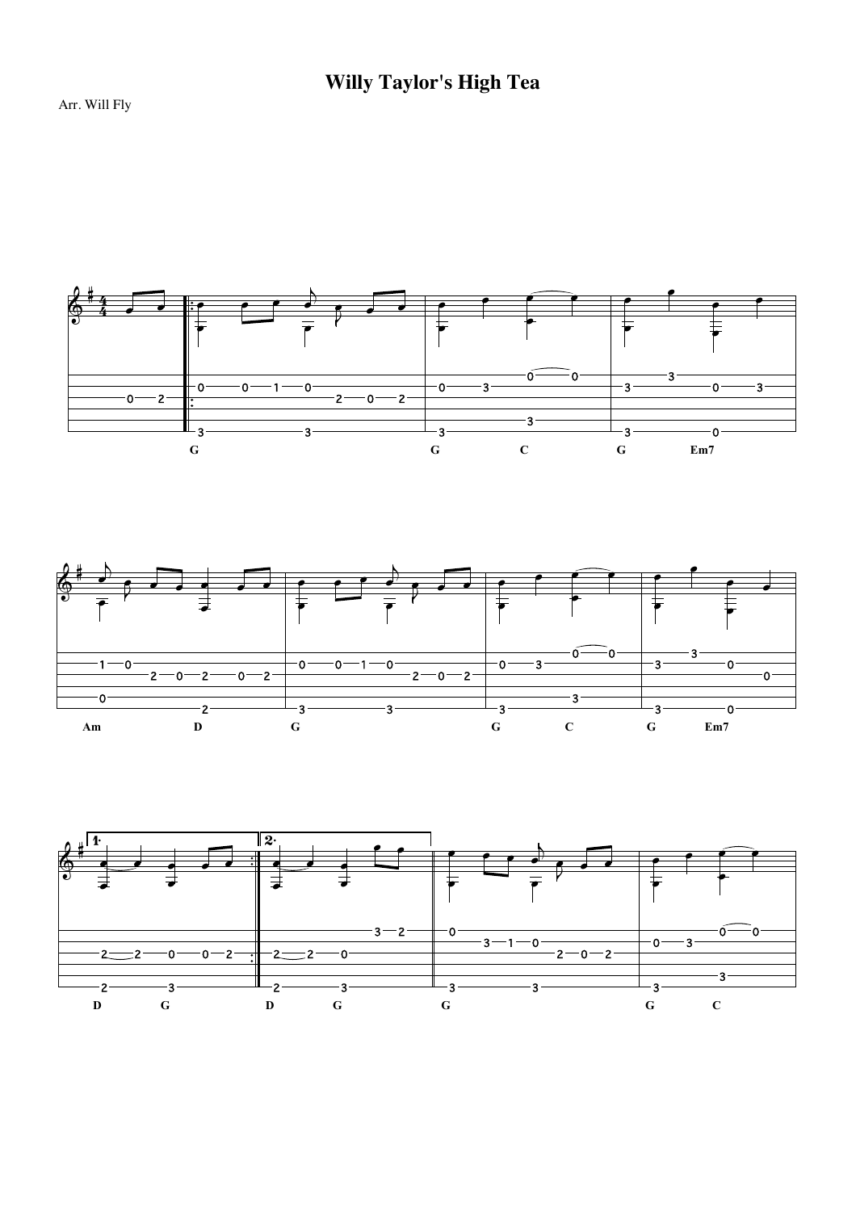